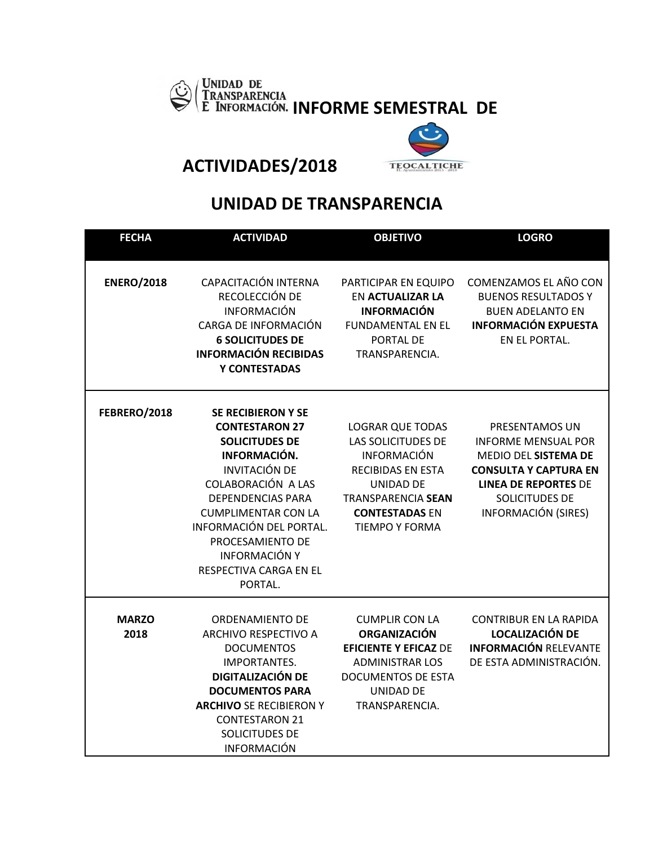



**ACTIVIDADES/2018** 

## **UNIDAD DE TRANSPARENCIA**

| <b>FECHA</b>         | <b>ACTIVIDAD</b>                                                                                                                                                                                                                                                                                                | <b>OBJETIVO</b>                                                                                                                                                                             | <b>LOGRO</b>                                                                                                                                                                               |
|----------------------|-----------------------------------------------------------------------------------------------------------------------------------------------------------------------------------------------------------------------------------------------------------------------------------------------------------------|---------------------------------------------------------------------------------------------------------------------------------------------------------------------------------------------|--------------------------------------------------------------------------------------------------------------------------------------------------------------------------------------------|
| <b>ENERO/2018</b>    | CAPACITACIÓN INTERNA<br>RECOLECCIÓN DE<br><b>INFORMACIÓN</b><br>CARGA DE INFORMACIÓN<br><b>6 SOLICITUDES DE</b><br><b>INFORMACIÓN RECIBIDAS</b><br>Y CONTESTADAS                                                                                                                                                | PARTICIPAR EN EQUIPO<br><b>EN ACTUALIZAR LA</b><br><b>INFORMACIÓN</b><br><b>FUNDAMENTAL EN EL</b><br>PORTAL DE<br>TRANSPARENCIA.                                                            | COMENZAMOS EL AÑO CON<br><b>BUENOS RESULTADOS Y</b><br><b>BUEN ADELANTO EN</b><br><b>INFORMACIÓN EXPUESTA</b><br>EN EL PORTAL.                                                             |
| FEBRERO/2018         | <b>SE RECIBIERON Y SE</b><br><b>CONTESTARON 27</b><br><b>SOLICITUDES DE</b><br>INFORMACIÓN.<br><b>INVITACIÓN DE</b><br>COLABORACIÓN A LAS<br><b>DEPENDENCIAS PARA</b><br><b>CUMPLIMENTAR CON LA</b><br>INFORMACIÓN DEL PORTAL.<br>PROCESAMIENTO DE<br><b>INFORMACIÓN Y</b><br>RESPECTIVA CARGA EN EL<br>PORTAL. | <b>LOGRAR QUE TODAS</b><br>LAS SOLICITUDES DE<br><b>INFORMACIÓN</b><br><b>RECIBIDAS EN ESTA</b><br>UNIDAD DE<br><b>TRANSPARENCIA SEAN</b><br><b>CONTESTADAS EN</b><br><b>TIEMPO Y FORMA</b> | PRESENTAMOS UN<br><b>INFORME MENSUAL POR</b><br>MEDIO DEL SISTEMA DE<br><b>CONSULTA Y CAPTURA EN</b><br><b>LINEA DE REPORTES DE</b><br><b>SOLICITUDES DE</b><br><b>INFORMACIÓN (SIRES)</b> |
| <b>MARZO</b><br>2018 | ORDENAMIENTO DE<br><b>ARCHIVO RESPECTIVO A</b><br><b>DOCUMENTOS</b><br><b>IMPORTANTES.</b><br><b>DIGITALIZACIÓN DE</b><br><b>DOCUMENTOS PARA</b><br><b>ARCHIVO SE RECIBIERON Y</b><br><b>CONTESTARON 21</b><br>SOLICITUDES DE<br><b>INFORMACIÓN</b>                                                             | <b>CUMPLIR CON LA</b><br><b>ORGANIZACIÓN</b><br><b>EFICIENTE Y EFICAZ DE</b><br><b>ADMINISTRAR LOS</b><br><b>DOCUMENTOS DE ESTA</b><br>UNIDAD DE<br>TRANSPARENCIA.                          | <b>CONTRIBUR EN LA RAPIDA</b><br><b>LOCALIZACIÓN DE</b><br><b>INFORMACIÓN RELEVANTE</b><br>DE ESTA ADMINISTRACIÓN.                                                                         |